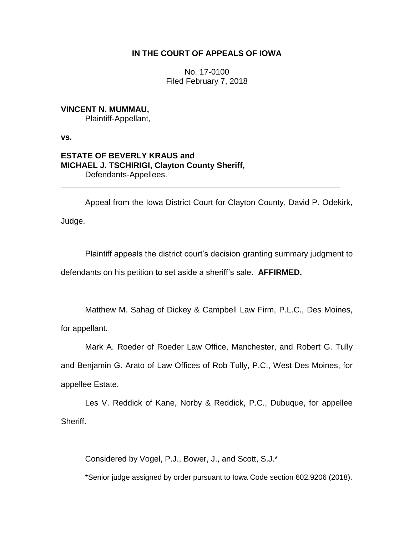# **IN THE COURT OF APPEALS OF IOWA**

No. 17-0100 Filed February 7, 2018

**VINCENT N. MUMMAU,** Plaintiff-Appellant,

**vs.**

# **ESTATE OF BEVERLY KRAUS and MICHAEL J. TSCHIRIGI, Clayton County Sheriff,** Defendants-Appellees.

Appeal from the Iowa District Court for Clayton County, David P. Odekirk,

\_\_\_\_\_\_\_\_\_\_\_\_\_\_\_\_\_\_\_\_\_\_\_\_\_\_\_\_\_\_\_\_\_\_\_\_\_\_\_\_\_\_\_\_\_\_\_\_\_\_\_\_\_\_\_\_\_\_\_\_\_\_

Judge.

Plaintiff appeals the district court's decision granting summary judgment to defendants on his petition to set aside a sheriff's sale. **AFFIRMED.**

Matthew M. Sahag of Dickey & Campbell Law Firm, P.L.C., Des Moines,

for appellant.

Mark A. Roeder of Roeder Law Office, Manchester, and Robert G. Tully and Benjamin G. Arato of Law Offices of Rob Tully, P.C., West Des Moines, for

appellee Estate.

Les V. Reddick of Kane, Norby & Reddick, P.C., Dubuque, for appellee Sheriff.

Considered by Vogel, P.J., Bower, J., and Scott, S.J.\*

\*Senior judge assigned by order pursuant to Iowa Code section 602.9206 (2018).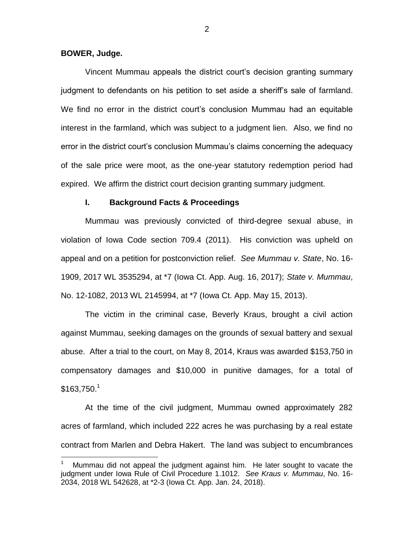### **BOWER, Judge.**

 $\overline{a}$ 

Vincent Mummau appeals the district court's decision granting summary judgment to defendants on his petition to set aside a sheriff's sale of farmland. We find no error in the district court's conclusion Mummau had an equitable interest in the farmland, which was subject to a judgment lien. Also, we find no error in the district court's conclusion Mummau's claims concerning the adequacy of the sale price were moot, as the one-year statutory redemption period had expired. We affirm the district court decision granting summary judgment.

#### **I. Background Facts & Proceedings**

Mummau was previously convicted of third-degree sexual abuse, in violation of Iowa Code section 709.4 (2011). His conviction was upheld on appeal and on a petition for postconviction relief. *See Mummau v. State*, No. 16- 1909, 2017 WL 3535294, at \*7 (Iowa Ct. App. Aug. 16, 2017); *State v. Mummau*, No. 12-1082, 2013 WL 2145994, at \*7 (Iowa Ct. App. May 15, 2013).

The victim in the criminal case, Beverly Kraus, brought a civil action against Mummau, seeking damages on the grounds of sexual battery and sexual abuse. After a trial to the court, on May 8, 2014, Kraus was awarded \$153,750 in compensatory damages and \$10,000 in punitive damages, for a total of  $$163.750.<sup>1</sup>$ 

At the time of the civil judgment, Mummau owned approximately 282 acres of farmland, which included 222 acres he was purchasing by a real estate contract from Marlen and Debra Hakert. The land was subject to encumbrances

<sup>1</sup> Mummau did not appeal the judgment against him. He later sought to vacate the judgment under Iowa Rule of Civil Procedure 1.1012. *See Kraus v. Mummau*, No. 16- 2034, 2018 WL 542628, at \*2-3 (Iowa Ct. App. Jan. 24, 2018).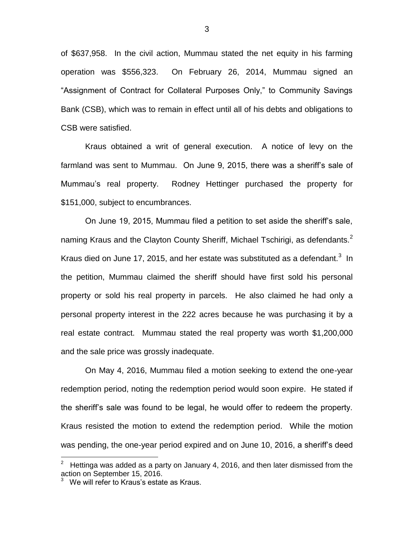of \$637,958. In the civil action, Mummau stated the net equity in his farming operation was \$556,323. On February 26, 2014, Mummau signed an "Assignment of Contract for Collateral Purposes Only," to Community Savings Bank (CSB), which was to remain in effect until all of his debts and obligations to CSB were satisfied.

Kraus obtained a writ of general execution. A notice of levy on the farmland was sent to Mummau. On June 9, 2015, there was a sheriff's sale of Mummau's real property. Rodney Hettinger purchased the property for \$151,000, subject to encumbrances.

On June 19, 2015, Mummau filed a petition to set aside the sheriff's sale, naming Kraus and the Clayton County Sheriff, Michael Tschirigi, as defendants.<sup>2</sup> Kraus died on June 17, 2015, and her estate was substituted as a defendant.<sup>3</sup> In the petition, Mummau claimed the sheriff should have first sold his personal property or sold his real property in parcels. He also claimed he had only a personal property interest in the 222 acres because he was purchasing it by a real estate contract. Mummau stated the real property was worth \$1,200,000 and the sale price was grossly inadequate.

On May 4, 2016, Mummau filed a motion seeking to extend the one-year redemption period, noting the redemption period would soon expire. He stated if the sheriff's sale was found to be legal, he would offer to redeem the property. Kraus resisted the motion to extend the redemption period. While the motion was pending, the one-year period expired and on June 10, 2016, a sheriff's deed

 $\overline{a}$ 

<sup>2</sup> Hettinga was added as a party on January 4, 2016, and then later dismissed from the action on September 15, 2016.

<sup>3</sup> We will refer to Kraus's estate as Kraus.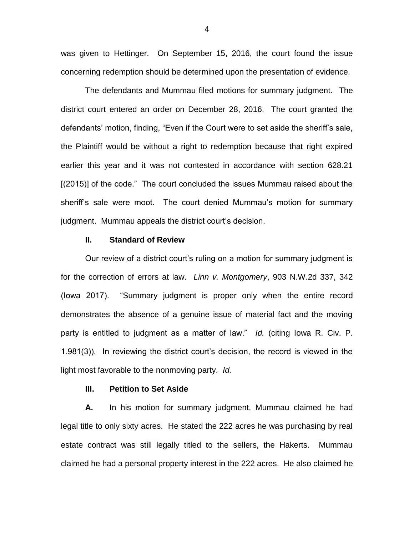was given to Hettinger. On September 15, 2016, the court found the issue concerning redemption should be determined upon the presentation of evidence.

The defendants and Mummau filed motions for summary judgment. The district court entered an order on December 28, 2016. The court granted the defendants' motion, finding, "Even if the Court were to set aside the sheriff's sale, the Plaintiff would be without a right to redemption because that right expired earlier this year and it was not contested in accordance with section 628.21 [(2015)] of the code." The court concluded the issues Mummau raised about the sheriff's sale were moot. The court denied Mummau's motion for summary judgment. Mummau appeals the district court's decision.

### **II. Standard of Review**

Our review of a district court's ruling on a motion for summary judgment is for the correction of errors at law. *Linn v. Montgomery*, 903 N.W.2d 337, 342 (Iowa 2017). "Summary judgment is proper only when the entire record demonstrates the absence of a genuine issue of material fact and the moving party is entitled to judgment as a matter of law." *Id.* (citing Iowa R. Civ. P. 1.981(3)). In reviewing the district court's decision, the record is viewed in the light most favorable to the nonmoving party. *Id.*

### **III. Petition to Set Aside**

**A.** In his motion for summary judgment, Mummau claimed he had legal title to only sixty acres. He stated the 222 acres he was purchasing by real estate contract was still legally titled to the sellers, the Hakerts. Mummau claimed he had a personal property interest in the 222 acres. He also claimed he

4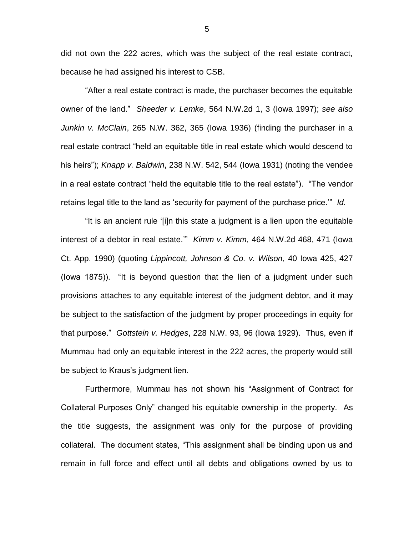did not own the 222 acres, which was the subject of the real estate contract, because he had assigned his interest to CSB.

"After a real estate contract is made, the purchaser becomes the equitable owner of the land." *Sheeder v. Lemke*, 564 N.W.2d 1, 3 (Iowa 1997); *see also Junkin v. McClain*, 265 N.W. 362, 365 (Iowa 1936) (finding the purchaser in a real estate contract "held an equitable title in real estate which would descend to his heirs"); *Knapp v. Baldwin*, 238 N.W. 542, 544 (Iowa 1931) (noting the vendee in a real estate contract "held the equitable title to the real estate"). "The vendor retains legal title to the land as 'security for payment of the purchase price.'" *Id.*

"It is an ancient rule '[i]n this state a judgment is a lien upon the equitable interest of a debtor in real estate.'" *Kimm v. Kimm*, 464 N.W.2d 468, 471 (Iowa Ct. App. 1990) (quoting *Lippincott, Johnson & Co. v. Wilson*, 40 Iowa 425, 427 (Iowa 1875)). "It is beyond question that the lien of a judgment under such provisions attaches to any equitable interest of the judgment debtor, and it may be subject to the satisfaction of the judgment by proper proceedings in equity for that purpose." *Gottstein v. Hedges*, 228 N.W. 93, 96 (Iowa 1929). Thus, even if Mummau had only an equitable interest in the 222 acres, the property would still be subject to Kraus's judgment lien.

Furthermore, Mummau has not shown his "Assignment of Contract for Collateral Purposes Only" changed his equitable ownership in the property. As the title suggests, the assignment was only for the purpose of providing collateral. The document states, "This assignment shall be binding upon us and remain in full force and effect until all debts and obligations owned by us to

5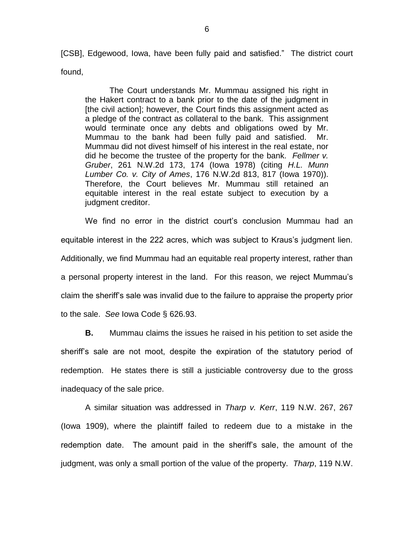[CSB], Edgewood, Iowa, have been fully paid and satisfied." The district court found,

The Court understands Mr. Mummau assigned his right in the Hakert contract to a bank prior to the date of the judgment in [the civil action]; however, the Court finds this assignment acted as a pledge of the contract as collateral to the bank. This assignment would terminate once any debts and obligations owed by Mr. Mummau to the bank had been fully paid and satisfied. Mr. Mummau did not divest himself of his interest in the real estate, nor did he become the trustee of the property for the bank. *Fellmer v. Gruber*, 261 N.W.2d 173, 174 (Iowa 1978) (citing *H.L. Munn Lumber Co. v. City of Ames*, 176 N.W.2d 813, 817 (Iowa 1970)). Therefore, the Court believes Mr. Mummau still retained an equitable interest in the real estate subject to execution by a judgment creditor.

We find no error in the district court's conclusion Mummau had an equitable interest in the 222 acres, which was subject to Kraus's judgment lien. Additionally, we find Mummau had an equitable real property interest, rather than a personal property interest in the land. For this reason, we reject Mummau's claim the sheriff's sale was invalid due to the failure to appraise the property prior to the sale. *See* Iowa Code § 626.93.

**B.** Mummau claims the issues he raised in his petition to set aside the sheriff's sale are not moot, despite the expiration of the statutory period of redemption. He states there is still a justiciable controversy due to the gross inadequacy of the sale price.

A similar situation was addressed in *Tharp v. Kerr*, 119 N.W. 267, 267 (Iowa 1909), where the plaintiff failed to redeem due to a mistake in the redemption date. The amount paid in the sheriff's sale, the amount of the judgment, was only a small portion of the value of the property. *Tharp*, 119 N.W.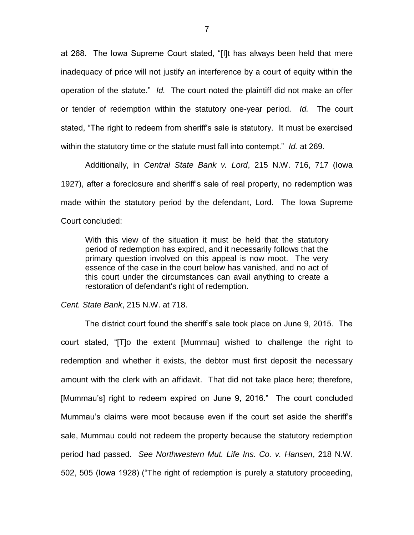at 268. The Iowa Supreme Court stated, "[I]t has always been held that mere inadequacy of price will not justify an interference by a court of equity within the operation of the statute." *Id.* The court noted the plaintiff did not make an offer or tender of redemption within the statutory one-year period. *Id.* The court stated, "The right to redeem from sheriff's sale is statutory. It must be exercised within the statutory time or the statute must fall into contempt." *Id.* at 269.

Additionally, in *Central State Bank v. Lord*, 215 N.W. 716, 717 (Iowa 1927), after a foreclosure and sheriff's sale of real property, no redemption was made within the statutory period by the defendant, Lord. The Iowa Supreme Court concluded:

With this view of the situation it must be held that the statutory period of redemption has expired, and it necessarily follows that the primary question involved on this appeal is now moot. The very essence of the case in the court below has vanished, and no act of this court under the circumstances can avail anything to create a restoration of defendant's right of redemption.

#### *Cent. State Bank*, 215 N.W. at 718.

The district court found the sheriff's sale took place on June 9, 2015. The court stated, "[T]o the extent [Mummau] wished to challenge the right to redemption and whether it exists, the debtor must first deposit the necessary amount with the clerk with an affidavit. That did not take place here; therefore, [Mummau's] right to redeem expired on June 9, 2016." The court concluded Mummau's claims were moot because even if the court set aside the sheriff's sale, Mummau could not redeem the property because the statutory redemption period had passed. *See Northwestern Mut. Life Ins. Co. v. Hansen*, 218 N.W. 502, 505 (Iowa 1928) ("The right of redemption is purely a statutory proceeding,